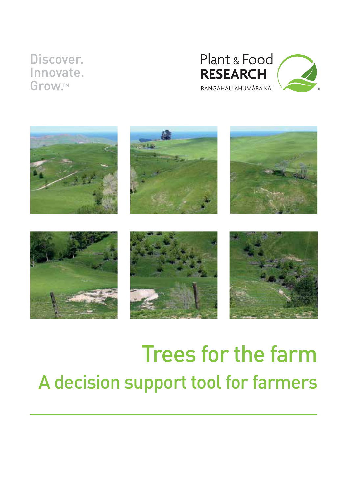### Discover. Innovate. Grow.™





## Trees for the farm A decision support tool for farmers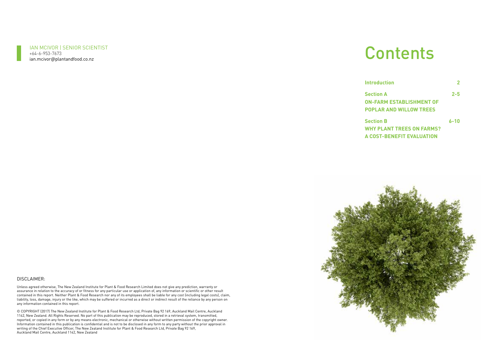

IAN MCIVOR | SENIOR SCIENTIST +64-6-953-7673 ian.mcivor@plantandfood.co.nz

## **Contents**

| <b>Introduction</b>              |          |
|----------------------------------|----------|
| <b>Section A</b>                 | $2 - 5$  |
| <b>ON-FARM ESTABLISHMENT OF</b>  |          |
| <b>POPLAR AND WILLOW TREES</b>   |          |
| <b>Section B</b>                 | $6 - 10$ |
| <b>WHY PLANT TREES ON FARMS?</b> |          |
| A COST-BENEFIT EVALUATION        |          |



#### DISCLAIMER:

Unless agreed otherwise, The New Zealand Institute for Plant & Food Research Limited does not give any prediction, warranty or assurance in relation to the accuracy of or fitness for any particular use or application of, any information or scientific or other result<br>contained in this report. Neither Plant & Food Research nor any of its employees s liability, loss, damage, injury or the like, which may be suffered or incurred as a direct or indirect result of the reliance by any person on any information contained in this report.

© COPYRIGHT (2017) The New Zealand Institute for Plant & Food Research Ltd, Private Bag 92 169, Auckland Mail Centre, Auckland<br>1142, New Zealand. All Rights Reserved. No part of this publication may be reproduced, stored i reported, or copied in any form or by any means electronic, mechanical or otherwise without written permission of the copyright owner. Information contained in this publication is confidential and is not to be disclosed in any form to any party without the prior approval in<br>writing of the Chief Executive Officer, The New Zealand Institute for Plant & Food Auckland Mail Centre, Auckland 1142, New Zealand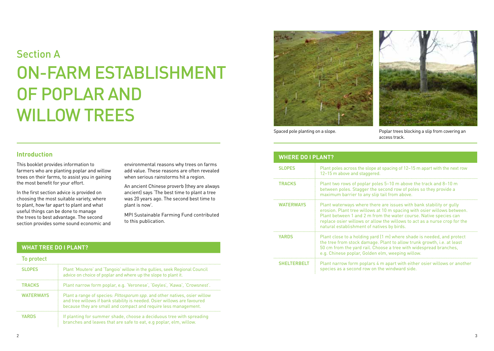# Section A ON-FARM ESTABLISHMENT OF POPLAR AND WILLOW TREES



Spaced pole planting on a slope. The Spaced pole planting on a slope. access track.

| <b>WHERE DO I PLANT?</b> |                                                                                                                                                                                                                                                                                                                                                |
|--------------------------|------------------------------------------------------------------------------------------------------------------------------------------------------------------------------------------------------------------------------------------------------------------------------------------------------------------------------------------------|
| <b>SLOPES</b>            | Plant poles across the slope at spacing of 12–15 m apart with the next row<br>12-15 m above and staggered.                                                                                                                                                                                                                                     |
| <b>TRACKS</b>            | Plant two rows of poplar poles 5-10 m above the track and 8-10 m<br>between poles. Stagger the second row of poles so they provide a<br>maximum barrier to any slip tail from above.                                                                                                                                                           |
| <b>WATERWAYS</b>         | Plant waterways where there are issues with bank stability or gully<br>erosion. Plant tree willows at 10 m spacing with osier willows between.<br>Plant between 1 and 2 m from the water course. Native species can<br>replace osier willows or allow the willows to act as a nurse crop for the<br>natural establishment of natives by birds. |
| <b>YARDS</b>             | Plant close to a holding yard (1 m) where shade is needed, and protect<br>the tree from stock damage. Plant to allow trunk growth, i.e. at least<br>50 cm from the yard rail. Choose a tree with widespread branches,<br>e.g. Chinese poplar, Golden elm, weeping willow.                                                                      |
| <b>SHELTERBELT</b>       | Plant narrow form poplars 4 m apart with either osier willows or another<br>species as a second row on the windward side.                                                                                                                                                                                                                      |

#### **Introduction**

This booklet provides information to farmers who are planting poplar and willow trees on their farms, to assist you in gaining the most benefit for your effort.

In the first section advice is provided on choosing the most suitable variety, where to plant, how far apart to plant and what useful things can be done to manage the trees to best advantage. The second section provides some sound economic and environmental reasons why trees on farms add value. These reasons are often revealed when serious rainstorms hit a region.

An ancient Chinese proverb (they are always ancient) says 'The best time to plant a tree was 20 years ago. The second best time to plant is now'.

MPI Sustainable Farming Fund contributed to this publication.

#### **WHAT TREE DO I PLANT?**

| $\sim$ | $\sim$ | ____ |  |
|--------|--------|------|--|

| <b>TO PLACE</b>  |                                                                                                                                                                                                                           |
|------------------|---------------------------------------------------------------------------------------------------------------------------------------------------------------------------------------------------------------------------|
| <b>SLOPES</b>    | Plant 'Moutere' and 'Tangoio' willow in the gullies, seek Regional Council<br>advice on choice of poplar and where up the slope to plant it.                                                                              |
| <b>TRACKS</b>    | Plant narrow form poplar, e.g. 'Veronese', 'Geyles', 'Kawa', 'Crowsnest'.                                                                                                                                                 |
| <b>WATERWAYS</b> | Plant a range of species: Pittosporum spp. and other natives, osier willow<br>and tree willows if bank stability is needed. Osier willows are favoured<br>because they are small and compact and require less management. |
| <b>YARDS</b>     | If planting for summer shade, choose a deciduous tree with spreading<br>branches and leaves that are safe to eat, e.g poplar, elm, willow.                                                                                |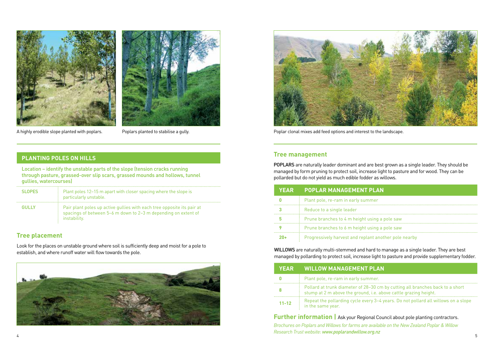

### **PLANTING POLES ON HILLS**

Location – identify the unstable parts of the slope (tension cracks running through pasture, grassed-over slip scars, grassed mounds and hollows, tunnel gullies, watercourses)

| <b>SLOPES</b> | Plant poles 12–15 m apart with closer spacing where the slope is<br>particularly unstable.                                                               |
|---------------|----------------------------------------------------------------------------------------------------------------------------------------------------------|
| <b>GULLY</b>  | Pair plant poles up active gullies with each tree opposite its pair at<br>spacings of between 5-6 m down to 2-3 m depending on extent of<br>instability. |

#### **Tree placement**

Look for the places on unstable ground where soil is sufficiently deep and moist for a pole to establish, and where runoff water will flow towards the pole.





A highly erodible slope planted with poplars. Poplars planted to stabilise a gully. The stabilise a gully and the poplar clonal mixes add feed options and interest to the landscape.

#### **Tree management**

POPLARS are naturally leader dominant and are best grown as a single leader. They should be managed by form pruning to protect soil, increase light to pasture and for wood. They can be pollarded but do not yield as much edible fodder as willows.

| <b>YEAR</b> | <b>POPLAR MANAGEMENT PLAN</b>                         |
|-------------|-------------------------------------------------------|
|             | Plant pole, re-ram in early summer                    |
|             | Reduce to a single leader                             |
|             | Prune branches to 4 m height using a pole saw         |
|             | Prune branches to 6 m height using a pole saw         |
| 2በ≖         | Progressively harvest and replant another pole nearby |

WILLOWS are naturally multi-stemmed and hard to manage as a single leader. They are best managed by pollarding to protect soil, increase light to pasture and provide supplementary fodder.

| <b>YEAR</b> | WILLOW MANAGEMENT PLAN                                                                                                                            |
|-------------|---------------------------------------------------------------------------------------------------------------------------------------------------|
| o           | Plant pole, re-ram in early summer.                                                                                                               |
| 8           | Pollard at trunk diameter of 28–30 cm by cutting all branches back to a short<br>stump at 2 m above the ground, i.e. above cattle grazing height. |
| $11 - 12$   | Repeat the pollarding cycle every 3-4 years. Do not pollard all willows on a slope<br>in the same year.                                           |

### **Further information | Ask your Regional Council about pole planting contractors.**

 $4$ *Brochures on Poplars and Willows for farms are available on the New Zealand Poplar & Willow Research Trust website: www.poplarandwillow.org.nz*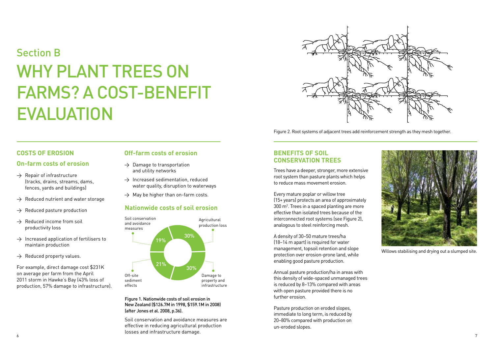# Section B WHY PLANT TREES ON FARMS? A COST-BENEFIT **EVALUATION**



Figure 2. Root systems of adjacent trees add reinforcement strength as they mesh together.

#### **COSTS OF EROSION**

#### **On-farm costs of erosion**

- $\rightarrow$  Repair of infrastructure (tracks, drains, streams, dams, fences, yards and buildings)
- $\rightarrow$  Reduced nutrient and water storage
- $\rightarrow$  Reduced pasture production
- $\rightarrow$  Reduced income from soil productivity loss
- $\rightarrow$  Increased application of fertilisers to maintain production
- $\rightarrow$  Reduced property values.

For example, direct damage cost \$231K on average per farm from the April 2011 storm in Hawke's Bay (43% loss of production, 57% damage to infrastructure).

#### **Off-farm costs of erosion**

- $\rightarrow$  Damage to transportation and utility networks
- $\rightarrow$  Increased sedimentation, reduced water quality, disruption to waterways
- $\rightarrow$  May be higher than on-farm costs.

#### **Nationwide costs of soil erosion**



Figure 1. Nationwide costs of soil erosion in New Zealand (\$126.7M in 1998, \$159.1M in 2008) (after Jones et al. 2008, p.36).

 $\delta$ Soil conservation and avoidance measures are effective in reducing agricultural production losses and infrastructure damage.

#### **BENEFITS OF SOIL CONSERVATION TREES**

Trees have a deeper, stronger, more extensive root system than pasture plants which helps to reduce mass movement erosion.

Every mature poplar or willow tree (15+ years) protects an area of approximately 300 m<sup>2</sup>. Trees in a spaced planting are more effective than isolated trees because of the interconnected root systems (see Figure 2). analogous to steel reinforcing mesh.

A density of 30–50 mature trees/ha (18–14 m apart) is required for water management, topsoil retention and slope protection over erosion-prone land, while enabling good pasture production.

Annual pasture production/ha in areas with this density of wide-spaced unmanaged trees is reduced by 8–13% compared with areas with open pasture provided there is no further erosion.

Pasture production on eroded slopes, immediate to long term, is reduced by 20–80% compared with production on un-eroded slopes.



Willows stabilising and drying out a slumped site.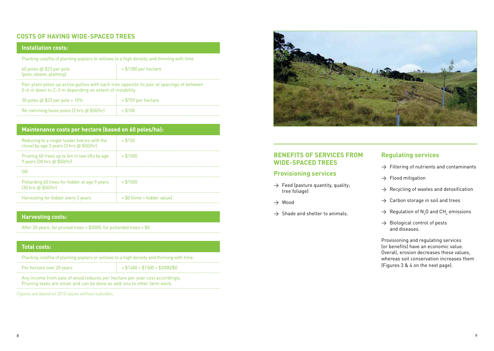#### **COSTS OF HAVING WIDE-SPACED TREES**

| Installation costs:                                                                                                                                  |                       |
|------------------------------------------------------------------------------------------------------------------------------------------------------|-----------------------|
| Planting cost/ha of planting poplars or willows to a high density, and thinning with time                                                            |                       |
| 60 poles @ \$23 per pole<br>(pole, sleeve, planting)                                                                                                 | $= $1380$ per hectare |
| Pair plant poles up active gullies with each tree opposite its pair at spacings of between<br>5-6 m down to 2-3 m depending on extent of instability |                       |
| 30 poles $\omega$ \$23 per pole + 10%                                                                                                                | $= $759$ per hectare  |
| Re-ramming loose poles (2 hrs $\omega$ \$50/hr)                                                                                                      | $= $100$              |

| Maintenance costs per hectare (based on 60 poles/ha): |  |  |
|-------------------------------------------------------|--|--|
| $= $150$                                              |  |  |
| $= $1500$                                             |  |  |
| 0 <sub>R</sub>                                        |  |  |
| $= $1500$                                             |  |  |
| $= $0$ (time $=$ fodder value)                        |  |  |
|                                                       |  |  |

#### **Harvesting costs:**

After 20 years; for pruned trees = \$3000; for pollarded trees = \$0

#### **Total costs:**

Planting cost/ha of planting poplars or willows to a high density and thinning with time.

Per hectare over 20 years  $\frac{1}{2}$  = \$1480 + \$1500 + \$3000/\$0

Any income from sale of wood reduces per hectare per year cost accordingly. Pruning tasks are small and can be done as add-ons to other farm work.

*Figures are based on 2015 values without subsidies.*



#### **BENEFITS OF SERVICES FROM WIDE-SPACED TREES**

#### **Provisioning services**

- $\rightarrow$  Feed (pasture quantity, quality; tree foliage)
- → Wood
- $\rightarrow$  Shade and shelter to animals.

#### **Regulating services**

- $\rightarrow$  Filtering of nutrients and contaminants
- $\rightarrow$  Flood mitigation
- $\rightarrow$  Recycling of wastes and detoxification
- $\rightarrow$  Carbon storage in soil and trees
- $\rightarrow$  Regulation of N<sub>2</sub>O and CH<sub>4</sub> emissions
- $\rightarrow$  Biological control of pests and diseases.

Provisioning and regulating services (or benefits) have an economic value. Overall, erosion decreases these values, whereas soil conservation increases them (Figures 3 & 4 on the next page).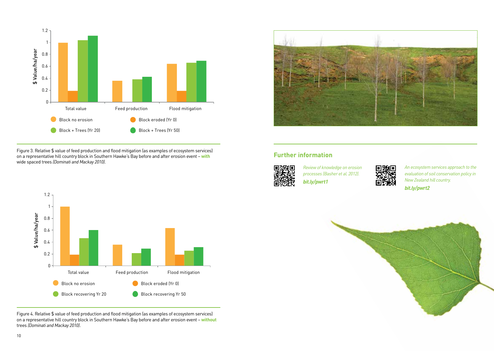

Figure 3. Relative \$ value of feed production and flood mitigation (as examples of ecosystem services)<br>on a representative hill country block in Southern Hawke's Bay before and after erosion event – <mark>with</mark> wide spaced trees *(Dominati and Mackay 2010)*.





*Review of knowledge on erosion processes (Basher et al. 2012). bit.ly/pwrt1*



*An ecosystem services approach to the evaluation of soil conservation policy in New Zealand hill country. bit.ly/pwrt2*



Figure 4. Relative \$ value of feed production and flood mitigation (as examples of ecosystem services) on a representative hill country block in Southern Hawke's Bay before and after erosion event – **without** trees *(Dominati and Mackay 2010)*.

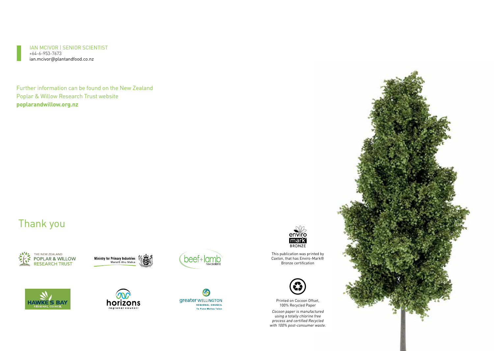

Further information can be found on the New Zealand Poplar & Willow Research Trust website **poplarandwillow.org.nz**

### Thank you



**HAWKE'S BAY** 







greater wELLINGTON **REGIONAL COUNCIL** Te Pane Matua Taiao



This publication was printed by Caxton, that has Enviro-Mark® Bronze certification



**Printed on Cocoon Offset,<br>100% Recycled Paper** 

*Printed on Cocoon Offsett,*  process and certified Recycled with 100% post-consumer waste. Cocoon paper is manufactured using a totally chlorine free